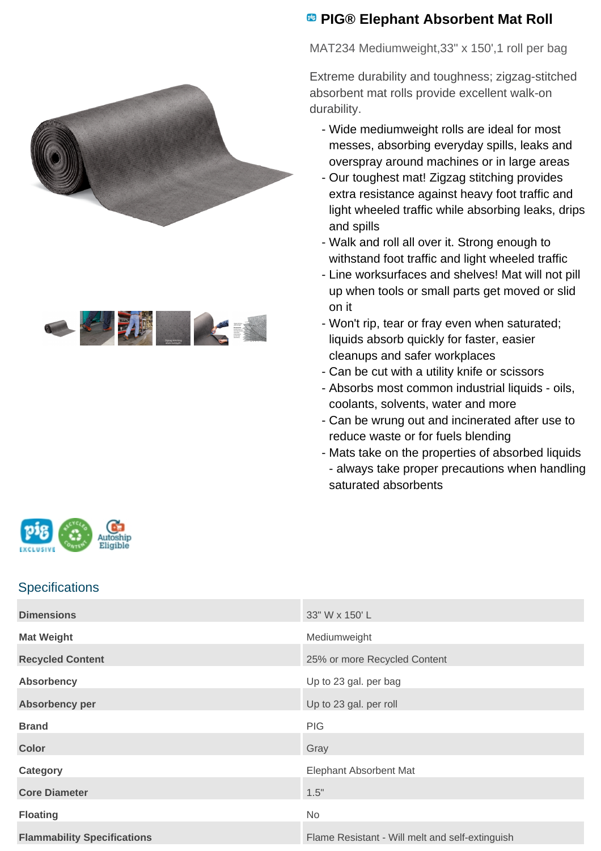



## **<sup><b>B</sup>** PIG® Elephant Absorbent Mat Roll</sup>

MAT234 Mediumweight,33" x 150',1 roll per bag

Extreme durability and toughness; zigzag-stitched absorbent mat rolls provide excellent walk-on durability.

- Wide mediumweight rolls are ideal for most messes, absorbing everyday spills, leaks and overspray around machines or in large areas
- Our toughest mat! Zigzag stitching provides extra resistance against heavy foot traffic and light wheeled traffic while absorbing leaks, drips and spills
- Walk and roll all over it. Strong enough to withstand foot traffic and light wheeled traffic
- Line worksurfaces and shelves! Mat will not pill up when tools or small parts get moved or slid on it
- Won't rip, tear or fray even when saturated; liquids absorb quickly for faster, easier cleanups and safer workplaces
- Can be cut with a utility knife or scissors
- Absorbs most common industrial liquids oils, coolants, solvents, water and more
- Can be wrung out and incinerated after use to reduce waste or for fuels blending
- Mats take on the properties of absorbed liquids -
- always take proper precautions when handling saturated absorbents



## **Specifications**

| <b>Dimensions</b>                  | 33" W x 150' L                                  |
|------------------------------------|-------------------------------------------------|
| <b>Mat Weight</b>                  | Mediumweight                                    |
| <b>Recycled Content</b>            | 25% or more Recycled Content                    |
| <b>Absorbency</b>                  | Up to 23 gal. per bag                           |
| Absorbency per                     | Up to 23 gal. per roll                          |
| <b>Brand</b>                       | <b>PIG</b>                                      |
| <b>Color</b>                       | Gray                                            |
| Category                           | <b>Elephant Absorbent Mat</b>                   |
| <b>Core Diameter</b>               | 1.5"                                            |
| <b>Floating</b>                    | No                                              |
| <b>Flammability Specifications</b> | Flame Resistant - Will melt and self-extinguish |